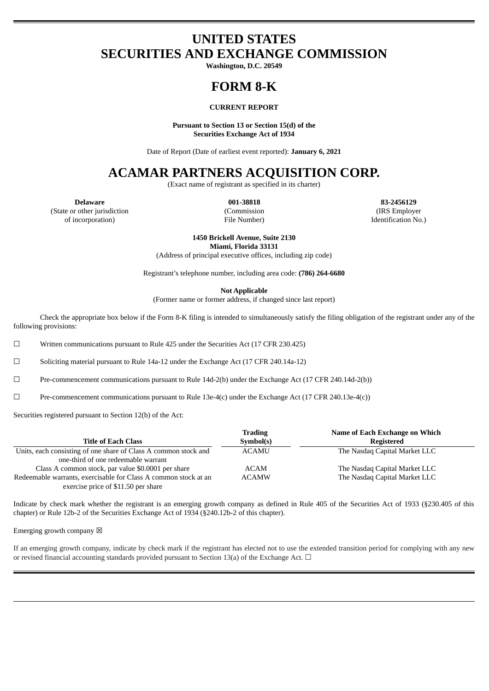## **UNITED STATES SECURITIES AND EXCHANGE COMMISSION**

**Washington, D.C. 20549**

# **FORM 8-K**

#### **CURRENT REPORT**

**Pursuant to Section 13 or Section 15(d) of the Securities Exchange Act of 1934**

Date of Report (Date of earliest event reported): **January 6, 2021**

## **ACAMAR PARTNERS ACQUISITION CORP.**

(Exact name of registrant as specified in its charter)

(Commission File Number)

**Delaware 001-38818 83-2456129** (IRS Employer Identification No.)

(State or other jurisdiction of incorporation)

> **1450 Brickell Avenue, Suite 2130 Miami, Florida 33131**

(Address of principal executive offices, including zip code)

Registrant's telephone number, including area code: **(786) 264-6680**

**Not Applicable**

(Former name or former address, if changed since last report)

Check the appropriate box below if the Form 8-K filing is intended to simultaneously satisfy the filing obligation of the registrant under any of the following provisions:

☐ Written communications pursuant to Rule 425 under the Securities Act (17 CFR 230.425)

☐ Soliciting material pursuant to Rule 14a-12 under the Exchange Act (17 CFR 240.14a-12)

☐ Pre-commencement communications pursuant to Rule 14d-2(b) under the Exchange Act (17 CFR 240.14d-2(b))

 $\Box$  Pre-commencement communications pursuant to Rule 13e-4(c) under the Exchange Act (17 CFR 240.13e-4(c))

Securities registered pursuant to Section 12(b) of the Act:

|                                                                 | <b>Trading</b> | Name of Each Exchange on Which |
|-----------------------------------------------------------------|----------------|--------------------------------|
| <b>Title of Each Class</b>                                      | Symbol(s)      | Registered                     |
| Units, each consisting of one share of Class A common stock and | <b>ACAMU</b>   | The Nasdaq Capital Market LLC  |
| one-third of one redeemable warrant                             |                |                                |
| Class A common stock, par value \$0.0001 per share              | ACAM           | The Nasdaq Capital Market LLC  |
| Redeemable warrants, exercisable for Class A common stock at an | <b>ACAMW</b>   | The Nasdaq Capital Market LLC  |
| exercise price of \$11.50 per share                             |                |                                |

Indicate by check mark whether the registrant is an emerging growth company as defined in Rule 405 of the Securities Act of 1933 (§230.405 of this chapter) or Rule 12b-2 of the Securities Exchange Act of 1934 (§240.12b-2 of this chapter).

Emerging growth company  $\boxtimes$ 

If an emerging growth company, indicate by check mark if the registrant has elected not to use the extended transition period for complying with any new or revised financial accounting standards provided pursuant to Section 13(a) of the Exchange Act.  $\Box$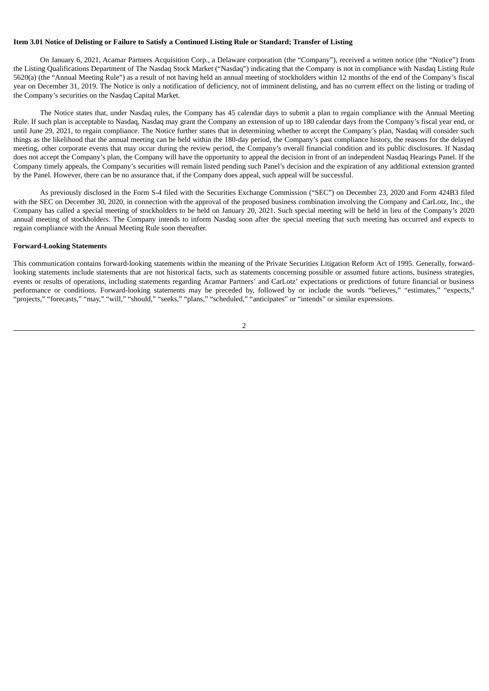#### Item 3.01 Notice of Delisting or Failure to Satisfy a Continued Listing Rule or Standard: Transfer of Listing

On January 6, 2021, Acamar Partners Acquisition Corp., a Delaware corporation (the "Company"), received a written notice (the "Notice") from the Listing Qualifications Department of The Nasdaq Stock Market ("Nasdaq") indicating that the Company is not in compliance with Nasdaq Listing Rule 5620(a) (the "Annual Meeting Rule") as a result of not having held an annual meeting of stockholders within 12 months of the end of the Company's fiscal year on December 31, 2019. The Notice is only a notification of deficiency, not of imminent delisting, and has no current effect on the listing or trading of the Company's securities on the Nasdaq Capital Market.

The Notice states that, under Nasdaq rules, the Company has 45 calendar days to submit a plan to regain compliance with the Annual Meeting Rule. If such plan is acceptable to Nasdaq, Nasdaq may grant the Company an extension of up to 180 calendar days from the Company's fiscal year end, or until June 29, 2021, to regain compliance. The Notice further states that in determining whether to accept the Company's plan, Nasdaq will consider such things as the likelihood that the annual meeting can be held within the 180-day period, the Company's past compliance history, the reasons for the delayed meeting, other corporate events that may occur during the review period, the Company's overall financial condition and its public disclosures. If Nasdaq does not accept the Company's plan, the Company will have the opportunity to appeal the decision in front of an independent Nasdaq Hearings Panel. If the Company timely appeals, the Company's securities will remain listed pending such Panel's decision and the expiration of any additional extension granted by the Panel. However, there can be no assurance that, if the Company does appeal, such appeal will be successful.

As previously disclosed in the Form S-4 filed with the Securities Exchange Commission ("SEC") on December 23, 2020 and Form 424B3 filed with the SEC on December 30, 2020, in connection with the approval of the proposed business combination involving the Company and CarLotz, Inc., the Company has called a special meeting of stockholders to be held on January 20, 2021. Such special meeting will be held in lieu of the Company's 2020 annual meeting of stockholders. The Company intends to inform Nasdaq soon after the special meeting that such meeting has occurred and expects to regain compliance with the Annual Meeting Rule soon thereafter.

#### **Forward-Looking Statements**

This communication contains forward-looking statements within the meaning of the Private Securities Litigation Reform Act of 1995. Generally, forwardlooking statements include statements that are not historical facts, such as statements concerning possible or assumed future actions, business strategies, events or results of operations, including statements regarding Acamar Partners' and CarLotz' expectations or predictions of future financial or business performance or conditions. Forward-looking statements may be preceded by, followed by or include the words "believes," "estimates," "expects," "projects," "forecasts," "may," "will," "should," "seeks," "plans," "scheduled," "anticipates" or "intends" or similar expressions.

 $\overline{2}$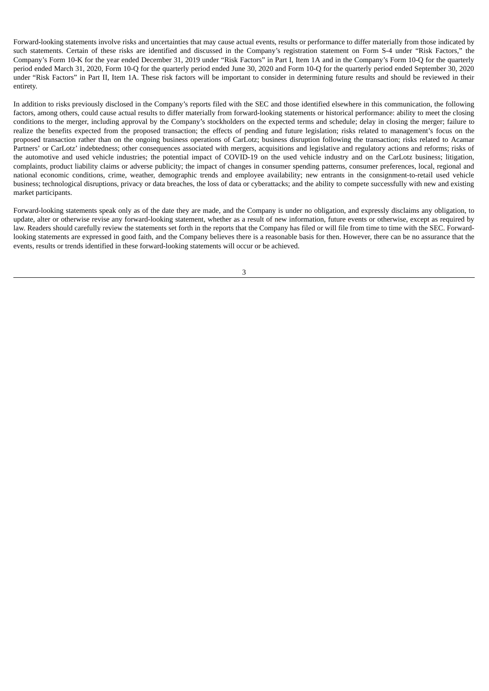Forward-looking statements involve risks and uncertainties that may cause actual events, results or performance to differ materially from those indicated by such statements. Certain of these risks are identified and discussed in the Company's registration statement on Form S-4 under "Risk Factors," the Company's Form 10-K for the year ended December 31, 2019 under "Risk Factors" in Part I, Item 1A and in the Company's Form 10-Q for the quarterly period ended March 31, 2020, Form 10-Q for the quarterly period ended June 30, 2020 and Form 10-Q for the quarterly period ended September 30, 2020 under "Risk Factors" in Part II, Item 1A. These risk factors will be important to consider in determining future results and should be reviewed in their entirety.

In addition to risks previously disclosed in the Company's reports filed with the SEC and those identified elsewhere in this communication, the following factors, among others, could cause actual results to differ materially from forward-looking statements or historical performance: ability to meet the closing conditions to the merger, including approval by the Company's stockholders on the expected terms and schedule; delay in closing the merger; failure to realize the benefits expected from the proposed transaction; the effects of pending and future legislation; risks related to management's focus on the proposed transaction rather than on the ongoing business operations of CarLotz; business disruption following the transaction; risks related to Acamar Partners' or CarLotz' indebtedness; other consequences associated with mergers, acquisitions and legislative and regulatory actions and reforms; risks of the automotive and used vehicle industries; the potential impact of COVID-19 on the used vehicle industry and on the CarLotz business; litigation, complaints, product liability claims or adverse publicity; the impact of changes in consumer spending patterns, consumer preferences, local, regional and national economic conditions, crime, weather, demographic trends and employee availability; new entrants in the consignment-to-retail used vehicle business; technological disruptions, privacy or data breaches, the loss of data or cyberattacks; and the ability to compete successfully with new and existing market participants.

Forward-looking statements speak only as of the date they are made, and the Company is under no obligation, and expressly disclaims any obligation, to update, alter or otherwise revise any forward-looking statement, whether as a result of new information, future events or otherwise, except as required by law. Readers should carefully review the statements set forth in the reports that the Company has filed or will file from time to time with the SEC. Forwardlooking statements are expressed in good faith, and the Company believes there is a reasonable basis for then. However, there can be no assurance that the events, results or trends identified in these forward-looking statements will occur or be achieved.

3